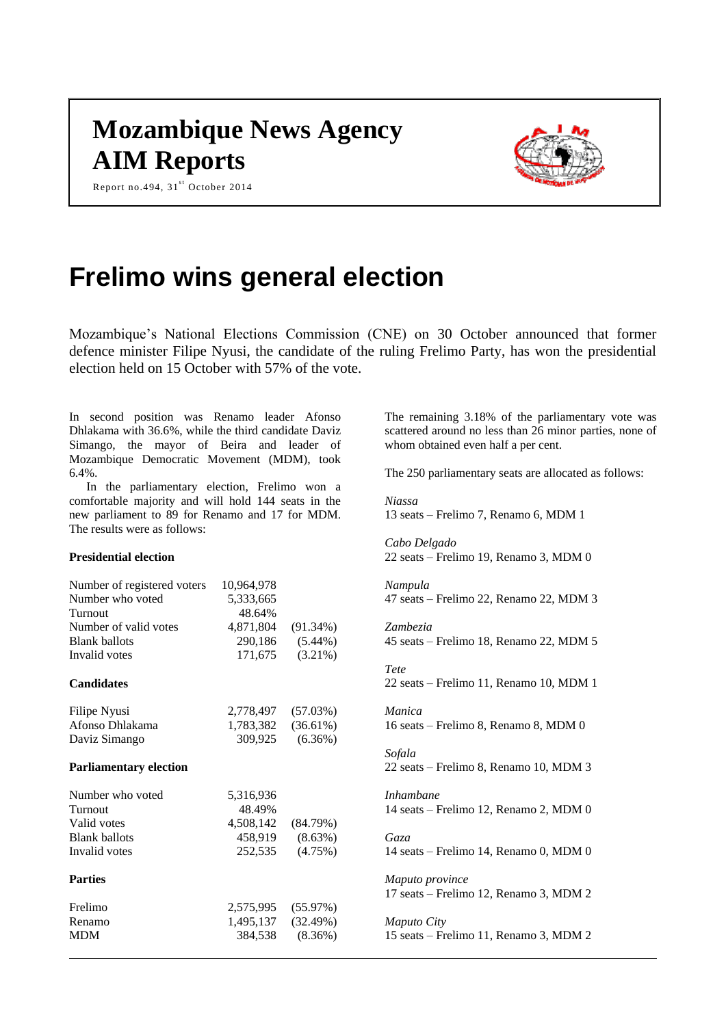# **Mozambique News Agency AIM Reports**

Report no.494,  $31<sup>st</sup>$  October 2014



# **Frelimo wins general election**

Mozambique's National Elections Commission (CNE) on 30 October announced that former defence minister Filipe Nyusi, the candidate of the ruling Frelimo Party, has won the presidential election held on 15 October with 57% of the vote.

In second position was Renamo leader Afonso Dhlakama with 36.6%, while the third candidate Daviz Simango, the mayor of Beira and leader of Mozambique Democratic Movement (MDM), took 6.4%.

In the parliamentary election, Frelimo won a comfortable majority and will hold 144 seats in the new parliament to 89 for Renamo and 17 for MDM. The results were as follows:

# **Presidential election**

| Number of registered voters   | 10,964,978 |             |
|-------------------------------|------------|-------------|
| Number who voted              | 5,333,665  |             |
| Turnout                       | 48.64%     |             |
| Number of valid votes         | 4,871,804  | $(91.34\%)$ |
| <b>Blank ballots</b>          | 290,186    | $(5.44\%)$  |
| Invalid votes                 | 171,675    | $(3.21\%)$  |
| <b>Candidates</b>             |            |             |
| Filipe Nyusi                  | 2,778,497  | (57.03%)    |
| Afonso Dhlakama               | 1,783,382  | $(36.61\%)$ |
| Daviz Simango                 | 309,925    | (6.36%)     |
| <b>Parliamentary election</b> |            |             |
| Number who voted              | 5,316,936  |             |
| Turnout                       | 48.49%     |             |
| Valid votes                   | 4,508,142  | (84.79%)    |
| <b>Blank ballots</b>          | 458,919    | (8.63%)     |
| Invalid votes                 | 252,535    | (4.75%)     |
| <b>Parties</b>                |            |             |
| Frelimo                       | 2,575,995  | (55.97%)    |
| Renamo                        | 1,495,137  | (32.49%)    |
| <b>MDM</b>                    | 384,538    | $(8.36\%)$  |

The remaining 3.18% of the parliamentary vote was scattered around no less than 26 minor parties, none of whom obtained even half a per cent.

The 250 parliamentary seats are allocated as follows:

*Niassa* 13 seats – Frelimo 7, Renamo 6, MDM 1

*Cabo Delgado* 22 seats – Frelimo 19, Renamo 3, MDM 0

*Nampula* 47 seats – Frelimo 22, Renamo 22, MDM 3

*Zambezia* 45 seats – Frelimo 18, Renamo 22, MDM 5

*Tete* 22 seats – Frelimo 11, Renamo 10, MDM 1

*Manica* 16 seats – Frelimo 8, Renamo 8, MDM 0

*Sofala* 22 seats – Frelimo 8, Renamo 10, MDM 3

*Inhambane* 14 seats – Frelimo 12, Renamo 2, MDM 0

*Gaza* 14 seats – Frelimo 14, Renamo 0, MDM 0

*Maputo province* 17 seats – Frelimo 12, Renamo 3, MDM 2

*Maputo City* 15 seats – Frelimo 11, Renamo 3, MDM 2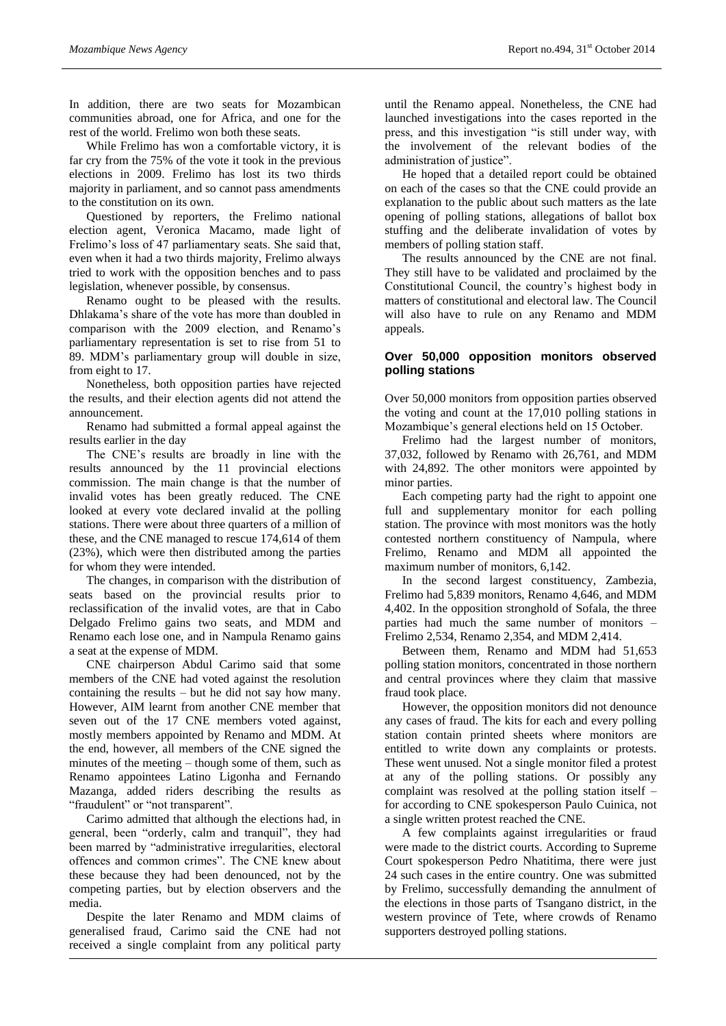In addition, there are two seats for Mozambican communities abroad, one for Africa, and one for the rest of the world. Frelimo won both these seats.

While Frelimo has won a comfortable victory, it is far cry from the 75% of the vote it took in the previous elections in 2009. Frelimo has lost its two thirds majority in parliament, and so cannot pass amendments to the constitution on its own.

Questioned by reporters, the Frelimo national election agent, Veronica Macamo, made light of Frelimo's loss of 47 parliamentary seats. She said that, even when it had a two thirds majority, Frelimo always tried to work with the opposition benches and to pass legislation, whenever possible, by consensus.

Renamo ought to be pleased with the results. Dhlakama's share of the vote has more than doubled in comparison with the 2009 election, and Renamo's parliamentary representation is set to rise from 51 to 89. MDM's parliamentary group will double in size, from eight to 17.

Nonetheless, both opposition parties have rejected the results, and their election agents did not attend the announcement.

Renamo had submitted a formal appeal against the results earlier in the day

The CNE's results are broadly in line with the results announced by the 11 provincial elections commission. The main change is that the number of invalid votes has been greatly reduced. The CNE looked at every vote declared invalid at the polling stations. There were about three quarters of a million of these, and the CNE managed to rescue 174,614 of them (23%), which were then distributed among the parties for whom they were intended.

The changes, in comparison with the distribution of seats based on the provincial results prior to reclassification of the invalid votes, are that in Cabo Delgado Frelimo gains two seats, and MDM and Renamo each lose one, and in Nampula Renamo gains a seat at the expense of MDM.

CNE chairperson Abdul Carimo said that some members of the CNE had voted against the resolution containing the results – but he did not say how many. However, AIM learnt from another CNE member that seven out of the 17 CNE members voted against, mostly members appointed by Renamo and MDM. At the end, however, all members of the CNE signed the minutes of the meeting – though some of them, such as Renamo appointees Latino Ligonha and Fernando Mazanga, added riders describing the results as "fraudulent" or "not transparent".

Carimo admitted that although the elections had, in general, been "orderly, calm and tranquil", they had been marred by "administrative irregularities, electoral offences and common crimes". The CNE knew about these because they had been denounced, not by the competing parties, but by election observers and the media.

Despite the later Renamo and MDM claims of generalised fraud, Carimo said the CNE had not received a single complaint from any political party

until the Renamo appeal. Nonetheless, the CNE had launched investigations into the cases reported in the press, and this investigation "is still under way, with the involvement of the relevant bodies of the administration of justice".

He hoped that a detailed report could be obtained on each of the cases so that the CNE could provide an explanation to the public about such matters as the late opening of polling stations, allegations of ballot box stuffing and the deliberate invalidation of votes by members of polling station staff.

The results announced by the CNE are not final. They still have to be validated and proclaimed by the Constitutional Council, the country's highest body in matters of constitutional and electoral law. The Council will also have to rule on any Renamo and MDM appeals.

# **Over 50,000 opposition monitors observed polling stations**

Over 50,000 monitors from opposition parties observed the voting and count at the 17,010 polling stations in Mozambique's general elections held on 15 October.

Frelimo had the largest number of monitors, 37,032, followed by Renamo with 26,761, and MDM with 24,892. The other monitors were appointed by minor parties.

Each competing party had the right to appoint one full and supplementary monitor for each polling station. The province with most monitors was the hotly contested northern constituency of Nampula, where Frelimo, Renamo and MDM all appointed the maximum number of monitors, 6,142.

In the second largest constituency, Zambezia, Frelimo had 5,839 monitors, Renamo 4,646, and MDM 4,402. In the opposition stronghold of Sofala, the three parties had much the same number of monitors – Frelimo 2,534, Renamo 2,354, and MDM 2,414.

Between them, Renamo and MDM had 51,653 polling station monitors, concentrated in those northern and central provinces where they claim that massive fraud took place.

However, the opposition monitors did not denounce any cases of fraud. The kits for each and every polling station contain printed sheets where monitors are entitled to write down any complaints or protests. These went unused. Not a single monitor filed a protest at any of the polling stations. Or possibly any complaint was resolved at the polling station itself – for according to CNE spokesperson Paulo Cuinica, not a single written protest reached the CNE.

A few complaints against irregularities or fraud were made to the district courts. According to Supreme Court spokesperson Pedro Nhatitima, there were just 24 such cases in the entire country. One was submitted by Frelimo, successfully demanding the annulment of the elections in those parts of Tsangano district, in the western province of Tete, where crowds of Renamo supporters destroyed polling stations.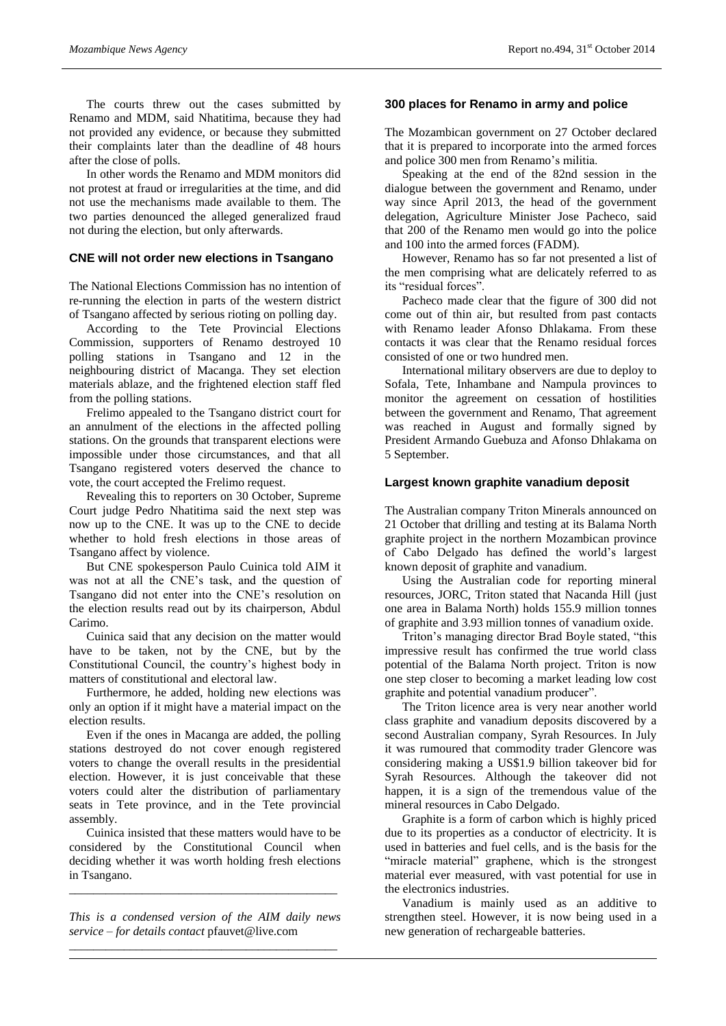The courts threw out the cases submitted by Renamo and MDM, said Nhatitima, because they had not provided any evidence, or because they submitted their complaints later than the deadline of 48 hours after the close of polls.

In other words the Renamo and MDM monitors did not protest at fraud or irregularities at the time, and did not use the mechanisms made available to them. The two parties denounced the alleged generalized fraud not during the election, but only afterwards.

# **CNE will not order new elections in Tsangano**

The National Elections Commission has no intention of re-running the election in parts of the western district of Tsangano affected by serious rioting on polling day.

According to the Tete Provincial Elections Commission, supporters of Renamo destroyed 10 polling stations in Tsangano and 12 in the neighbouring district of Macanga. They set election materials ablaze, and the frightened election staff fled from the polling stations.

Frelimo appealed to the Tsangano district court for an annulment of the elections in the affected polling stations. On the grounds that transparent elections were impossible under those circumstances, and that all Tsangano registered voters deserved the chance to vote, the court accepted the Frelimo request.

Revealing this to reporters on 30 October, Supreme Court judge Pedro Nhatitima said the next step was now up to the CNE. It was up to the CNE to decide whether to hold fresh elections in those areas of Tsangano affect by violence.

But CNE spokesperson Paulo Cuinica told AIM it was not at all the CNE's task, and the question of Tsangano did not enter into the CNE's resolution on the election results read out by its chairperson, Abdul Carimo.

Cuinica said that any decision on the matter would have to be taken, not by the CNE, but by the Constitutional Council, the country's highest body in matters of constitutional and electoral law.

Furthermore, he added, holding new elections was only an option if it might have a material impact on the election results.

Even if the ones in Macanga are added, the polling stations destroyed do not cover enough registered voters to change the overall results in the presidential election. However, it is just conceivable that these voters could alter the distribution of parliamentary seats in Tete province, and in the Tete provincial assembly.

Cuinica insisted that these matters would have to be considered by the Constitutional Council when deciding whether it was worth holding fresh elections in Tsangano.

*\_\_\_\_\_\_\_\_\_\_\_\_\_\_\_\_\_\_\_\_\_\_\_\_\_\_\_\_\_\_\_\_\_\_\_\_\_\_\_\_\_\_\_\_*

*This is a condensed version of the AIM daily news service – for details contact* pfauvet@live.com *\_\_\_\_\_\_\_\_\_\_\_\_\_\_\_\_\_\_\_\_\_\_\_\_\_\_\_\_\_\_\_\_\_\_\_\_\_\_\_\_\_\_\_\_*

### **300 places for Renamo in army and police**

The Mozambican government on 27 October declared that it is prepared to incorporate into the armed forces and police 300 men from Renamo's militia.

Speaking at the end of the 82nd session in the dialogue between the government and Renamo, under way since April 2013, the head of the government delegation, Agriculture Minister Jose Pacheco, said that 200 of the Renamo men would go into the police and 100 into the armed forces (FADM).

However, Renamo has so far not presented a list of the men comprising what are delicately referred to as its "residual forces".

Pacheco made clear that the figure of 300 did not come out of thin air, but resulted from past contacts with Renamo leader Afonso Dhlakama. From these contacts it was clear that the Renamo residual forces consisted of one or two hundred men.

International military observers are due to deploy to Sofala, Tete, Inhambane and Nampula provinces to monitor the agreement on cessation of hostilities between the government and Renamo, That agreement was reached in August and formally signed by President Armando Guebuza and Afonso Dhlakama on 5 September.

### **Largest known graphite vanadium deposit**

The Australian company Triton Minerals announced on 21 October that drilling and testing at its Balama North graphite project in the northern Mozambican province of Cabo Delgado has defined the world's largest known deposit of graphite and vanadium.

Using the Australian code for reporting mineral resources, JORC, Triton stated that Nacanda Hill (just one area in Balama North) holds 155.9 million tonnes of graphite and 3.93 million tonnes of vanadium oxide.

Triton's managing director Brad Boyle stated, "this impressive result has confirmed the true world class potential of the Balama North project. Triton is now one step closer to becoming a market leading low cost graphite and potential vanadium producer".

The Triton licence area is very near another world class graphite and vanadium deposits discovered by a second Australian company, Syrah Resources. In July it was rumoured that commodity trader Glencore was considering making a US\$1.9 billion takeover bid for Syrah Resources. Although the takeover did not happen, it is a sign of the tremendous value of the mineral resources in Cabo Delgado.

Graphite is a form of carbon which is highly priced due to its properties as a conductor of electricity. It is used in batteries and fuel cells, and is the basis for the "miracle material" graphene, which is the strongest material ever measured, with vast potential for use in the electronics industries.

Vanadium is mainly used as an additive to strengthen steel. However, it is now being used in a new generation of rechargeable batteries.